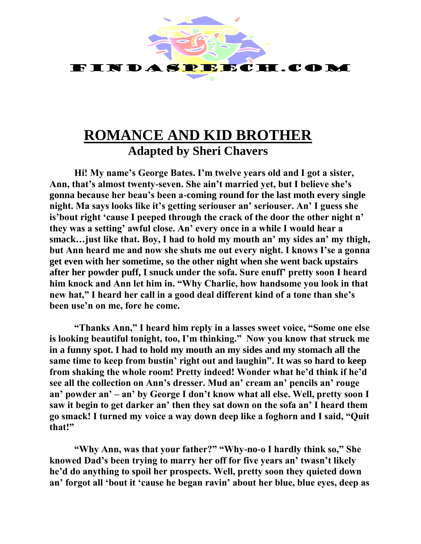

## **ROMANCE AND KID BROTHER Adapted by Sheri Chavers**

**Hi! My name's George Bates. I'm twelve years old and I got a sister, Ann, that's almost twenty-seven. She ain't married yet, but I believe she's gonna because her beau's been a-coming round for the last moth every single night. Ma says looks like it's getting seriouser an' seriouser. An' I guess she is'bout right 'cause I peeped through the crack of the door the other night n' they was a setting' awful close. An' every once in a while I would hear a smack…just like that. Boy, I had to hold my mouth an' my sides an' my thigh, but Ann heard me and now she shuts me out every night. I knows I'se a gonna get even with her sometime, so the other night when she went back upstairs after her powder puff, I snuck under the sofa. Sure enuff' pretty soon I heard him knock and Ann let him in. "Why Charlie, how handsome you look in that new hat," I heard her call in a good deal different kind of a tone than she's been use'n on me, fore he come.** 

**"Thanks Ann," I heard him reply in a lasses sweet voice, "Some one else is looking beautiful tonight, too, I'm thinking." Now you know that struck me in a funny spot. I had to hold my mouth an my sides and my stomach all the same time to keep from bustin' right out and laughin". It was so hard to keep from shaking the whole room! Pretty indeed! Wonder what he'd think if he'd see all the collection on Ann's dresser. Mud an' cream an' pencils an' rouge an' powder an' – an' by George I don't know what all else. Well, pretty soon I saw it begin to get darker an' then they sat down on the sofa an' I heard them go smack! I turned my voice a way down deep like a foghorn and I said, "Quit that!"**

**"Why Ann, was that your father?" "Why-no-o I hardly think so," She knowed Dad's been trying to marry her off for five years an' twasn't likely he'd do anything to spoil her prospects. Well, pretty soon they quieted down an' forgot all 'bout it 'cause he began ravin' about her blue, blue eyes, deep as**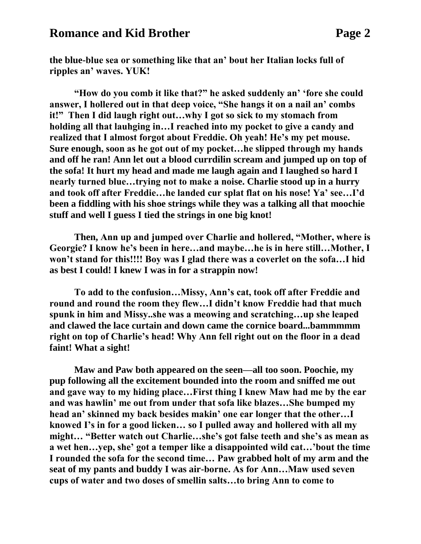## **Romance and Kid Brother Page 2**

**the blue-blue sea or something like that an' bout her Italian locks full of ripples an' waves. YUK!**

**"How do you comb it like that?" he asked suddenly an' 'fore she could answer, I hollered out in that deep voice, "She hangs it on a nail an' combs it!" Then I did laugh right out…why I got so sick to my stomach from holding all that lauhging in…I reached into my pocket to give a candy and realized that I almost forgot about Freddie. Oh yeah! He's my pet mouse. Sure enough, soon as he got out of my pocket…he slipped through my hands and off he ran! Ann let out a blood currdilin scream and jumped up on top of the sofa! It hurt my head and made me laugh again and I laughed so hard I nearly turned blue…trying not to make a noise. Charlie stood up in a hurry and took off after Freddie…he landed cur splat flat on his nose! Ya' see…I'd been a fiddling with his shoe strings while they was a talking all that moochie stuff and well I guess I tied the strings in one big knot!**

**Then, Ann up and jumped over Charlie and hollered, "Mother, where is Georgie? I know he's been in here…and maybe…he is in here still…Mother, I won't stand for this!!!! Boy was I glad there was a coverlet on the sofa…I hid as best I could! I knew I was in for a strappin now!**

**To add to the confusion…Missy, Ann's cat, took off after Freddie and round and round the room they flew…I didn't know Freddie had that much spunk in him and Missy..she was a meowing and scratching…up she leaped and clawed the lace curtain and down came the cornice board...bammmmm right on top of Charlie's head! Why Ann fell right out on the floor in a dead faint! What a sight!**

**Maw and Paw both appeared on the seen—all too soon. Poochie, my pup following all the excitement bounded into the room and sniffed me out and gave way to my hiding place…First thing I knew Maw had me by the ear and was hawlin' me out from under that sofa like blazes…She bumped my head an' skinned my back besides makin' one ear longer that the other…I knowed I's in for a good licken… so I pulled away and hollered with all my might… "Better watch out Charlie…she's got false teeth and she's as mean as a wet hen…yep, she' got a temper like a disappointed wild cat…'bout the time I rounded the sofa for the second time… Paw grabbed holt of my arm and the seat of my pants and buddy I was air-borne. As for Ann…Maw used seven cups of water and two doses of smellin salts…to bring Ann to come to**